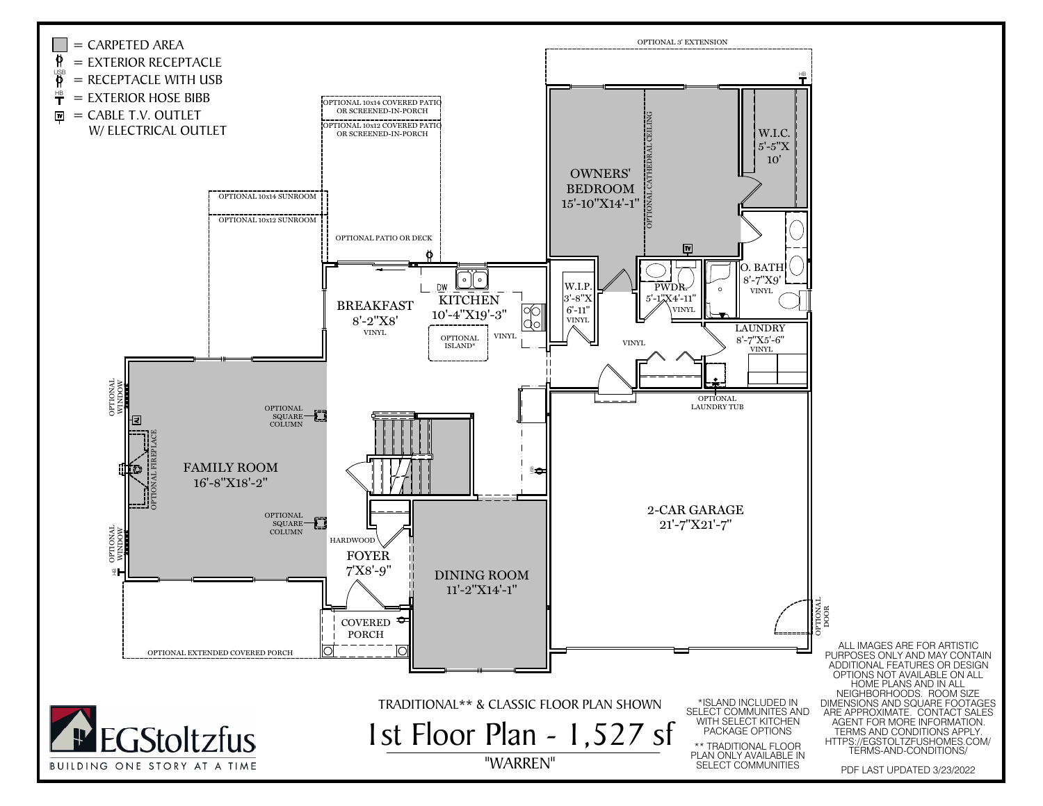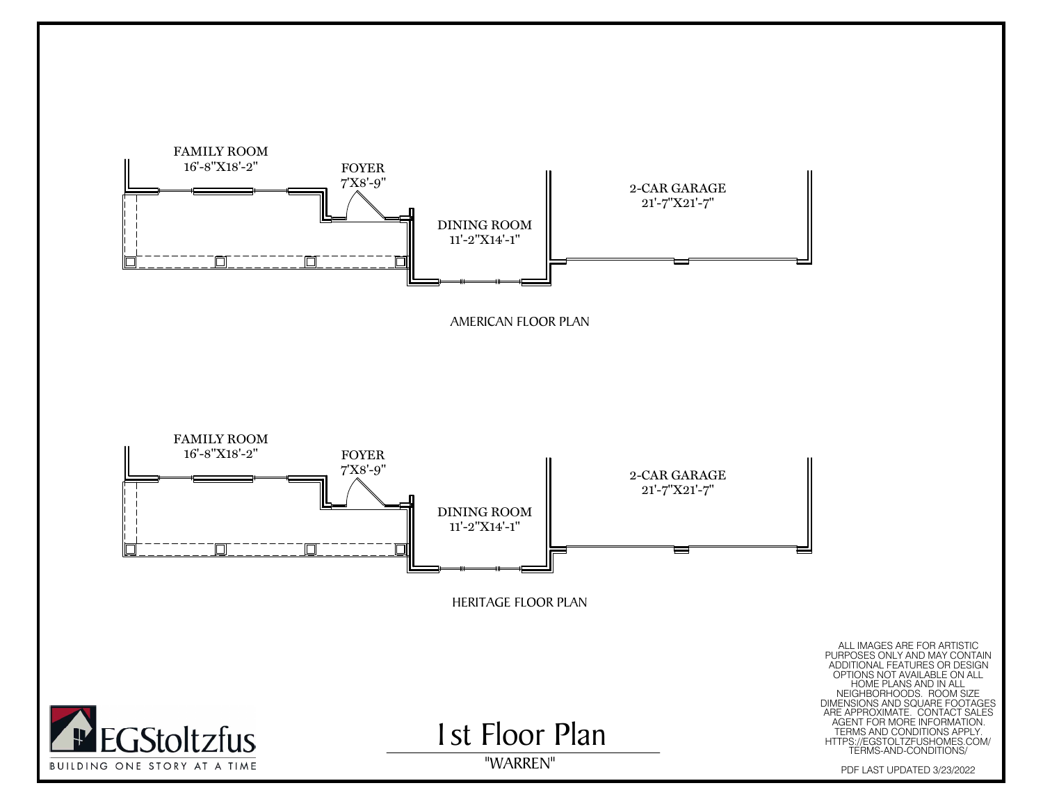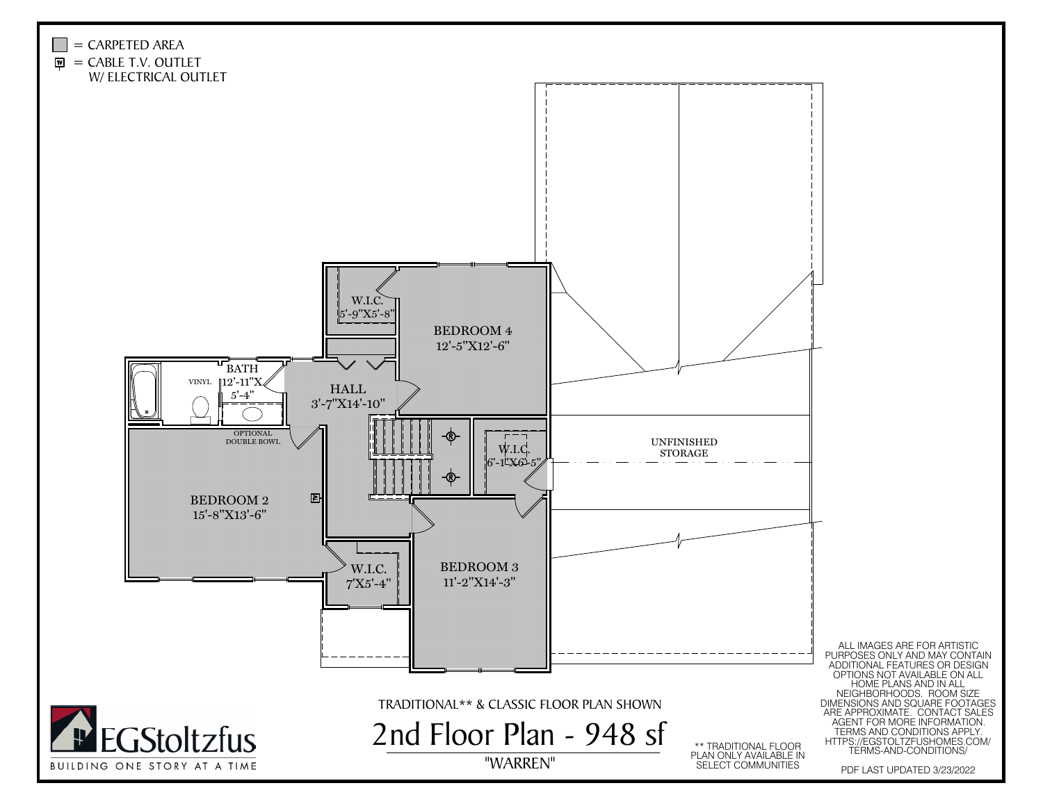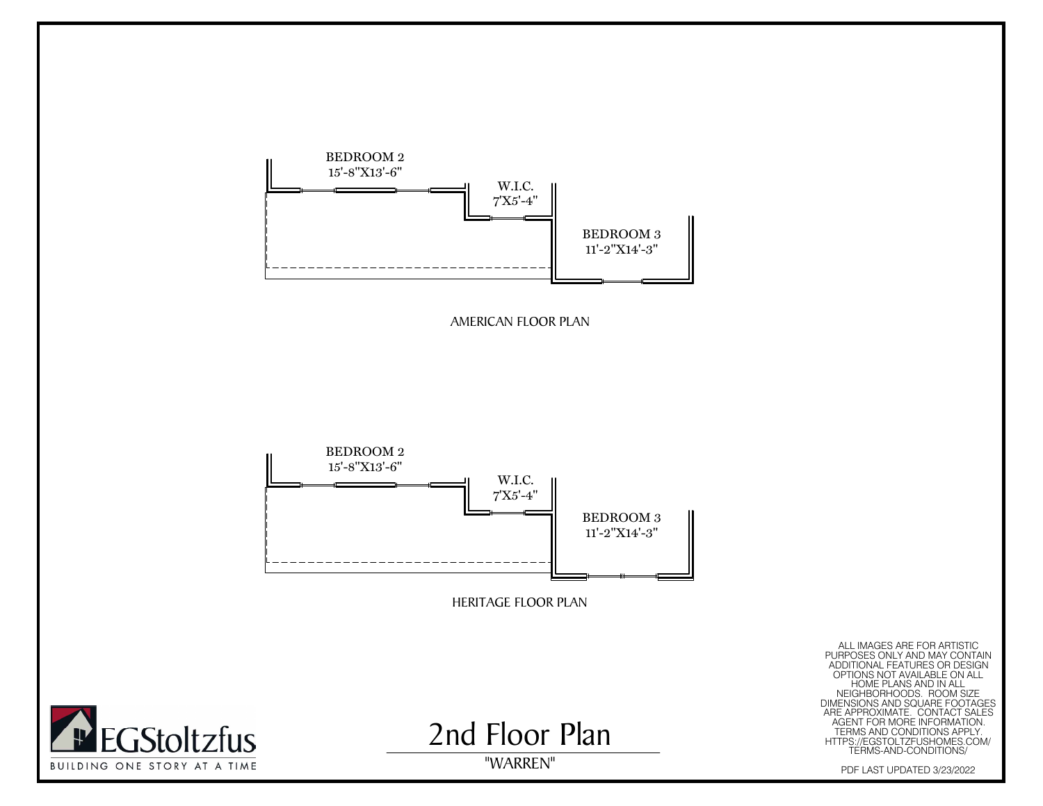

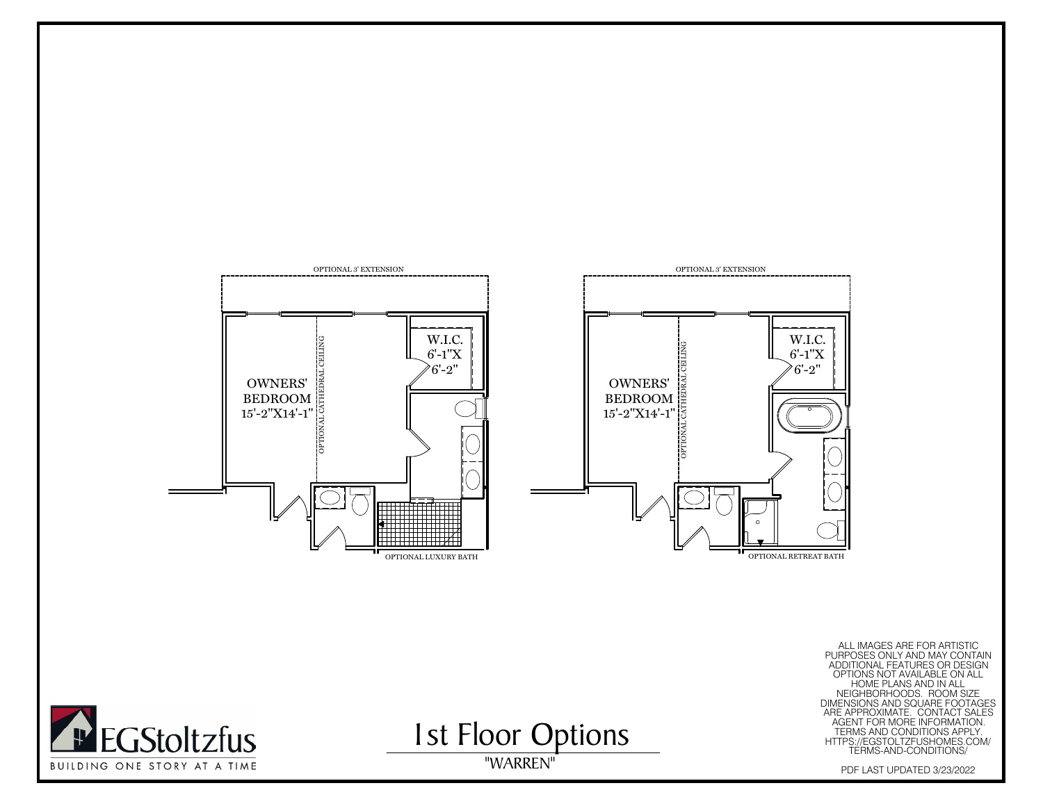

PURPOSES ONLY AND MAY CONTAIN<br>ADDITIONAL FEATURES OR DESIGN

I st Floor Options

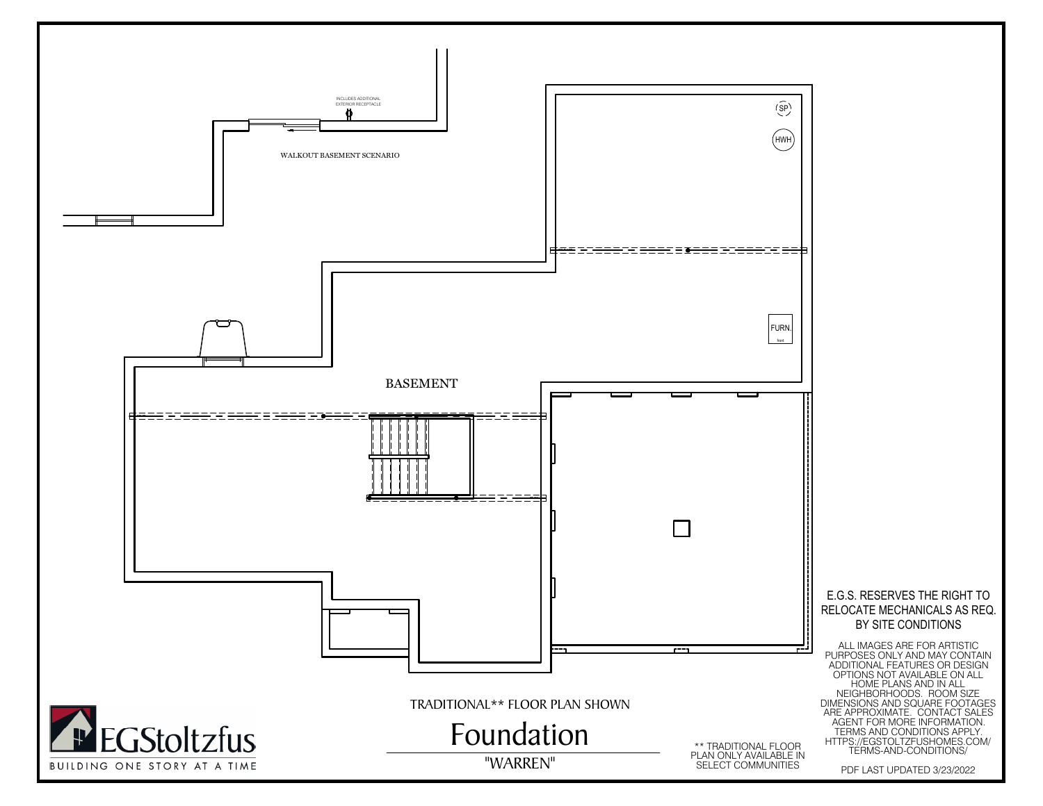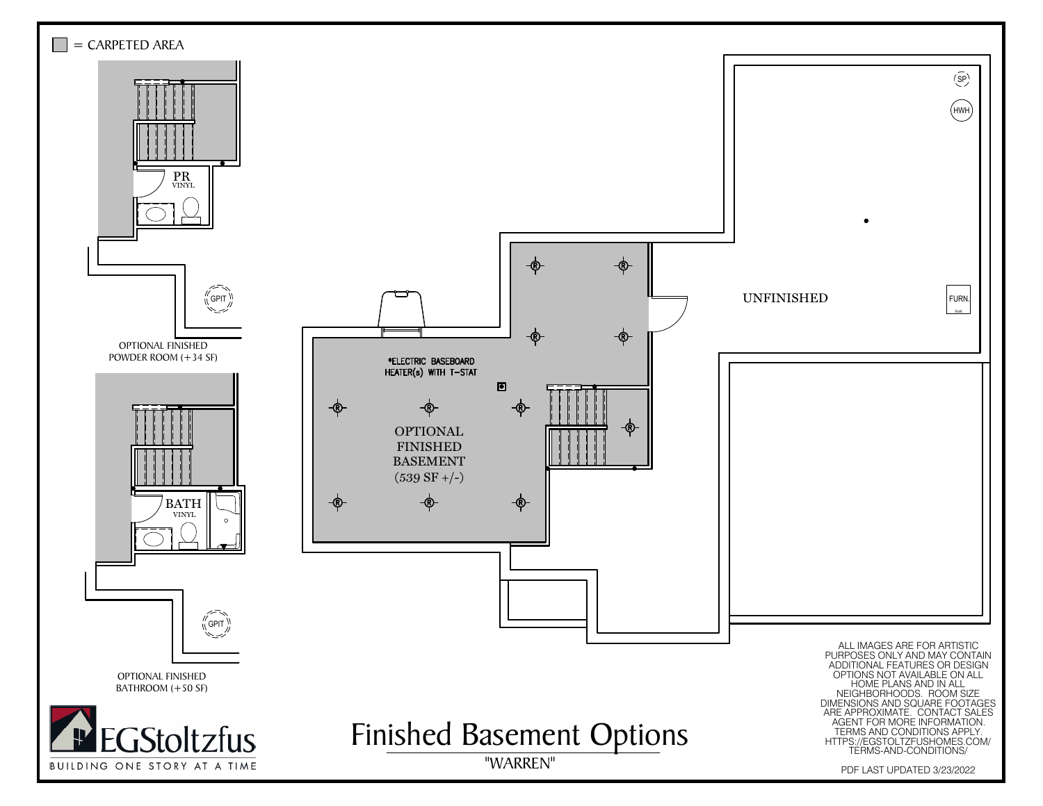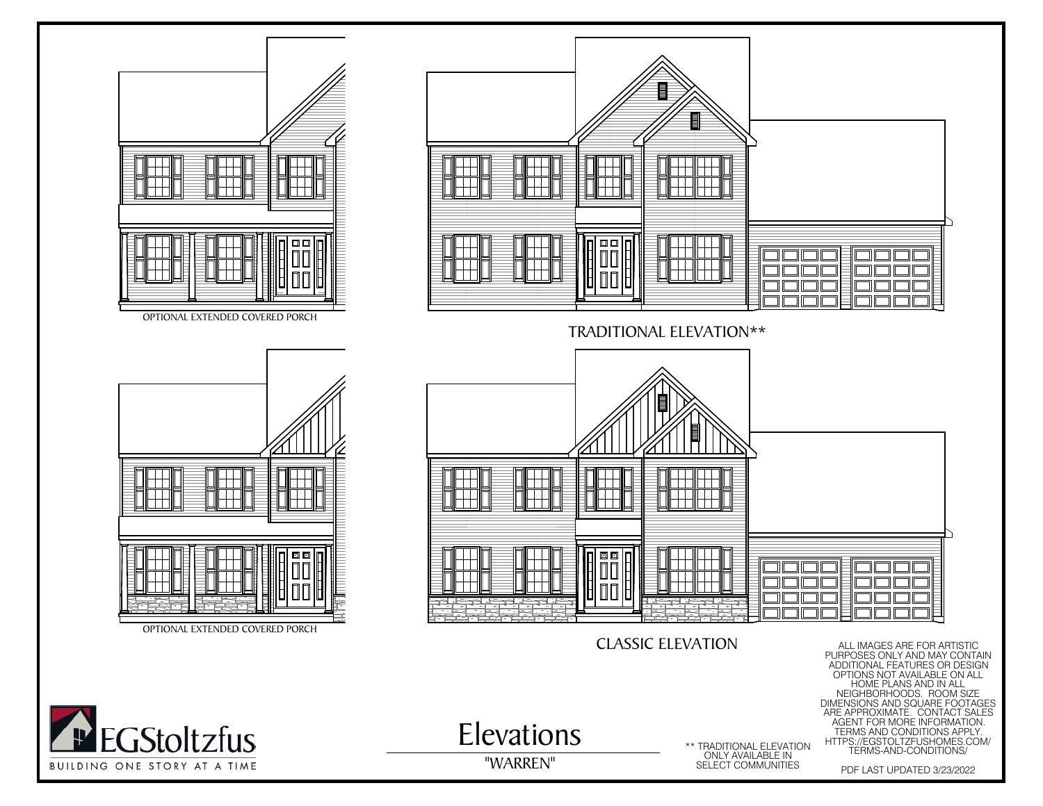